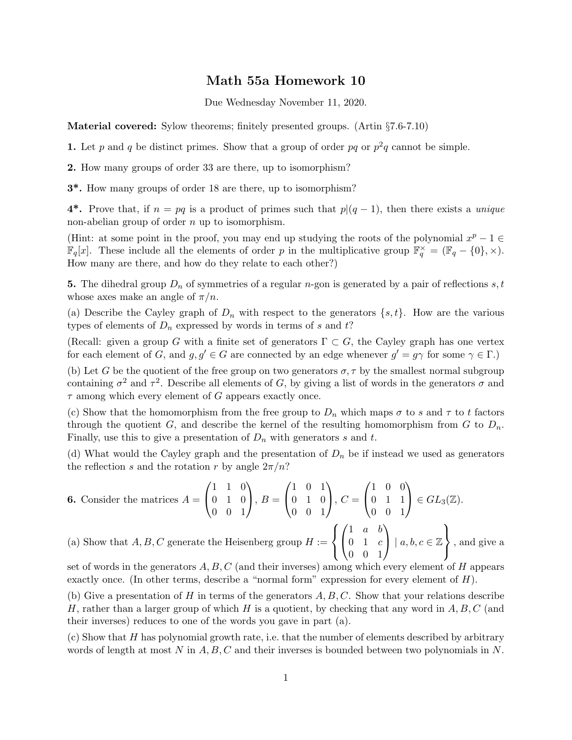## Math 55a Homework 10

Due Wednesday November 11, 2020.

Material covered: Sylow theorems; finitely presented groups. (Artin §7.6-7.10)

1. Let p and q be distinct primes. Show that a group of order pq or  $p^2q$  cannot be simple.

2. How many groups of order 33 are there, up to isomorphism?

3\*. How many groups of order 18 are there, up to isomorphism?

4<sup>\*</sup>. Prove that, if  $n = pq$  is a product of primes such that  $p|(q-1)$ , then there exists a *unique* non-abelian group of order  $n$  up to isomorphism.

(Hint: at some point in the proof, you may end up studying the roots of the polynomial  $x^p - 1 \in$  $\mathbb{F}_q[x]$ . These include all the elements of order p in the multiplicative group  $\mathbb{F}_q^{\times} = (\mathbb{F}_q - \{0\}, \times)$ . How many are there, and how do they relate to each other?)

5. The dihedral group  $D_n$  of symmetries of a regular *n*-gon is generated by a pair of reflections s, t whose axes make an angle of  $\pi/n$ .

(a) Describe the Cayley graph of  $D_n$  with respect to the generators  $\{s, t\}$ . How are the various types of elements of  $D_n$  expressed by words in terms of s and t?

(Recall: given a group G with a finite set of generators  $\Gamma \subset G$ , the Cayley graph has one vertex for each element of G, and  $g, g' \in G$  are connected by an edge whenever  $g' = g\gamma$  for some  $\gamma \in \Gamma$ .)

(b) Let G be the quotient of the free group on two generators  $\sigma$ ,  $\tau$  by the smallest normal subgroup containing  $\sigma^2$  and  $\tau^2$ . Describe all elements of G, by giving a list of words in the generators  $\sigma$  and  $\tau$  among which every element of G appears exactly once.

(c) Show that the homomorphism from the free group to  $D_n$  which maps  $\sigma$  to s and  $\tau$  to t factors through the quotient G, and describe the kernel of the resulting homomorphism from G to  $D_n$ . Finally, use this to give a presentation of  $D_n$  with generators s and t.

(d) What would the Cayley graph and the presentation of  $D_n$  be if instead we used as generators the reflection s and the rotation r by angle  $2\pi/n$ ?

**6.** Consider the matrices 
$$
A = \begin{pmatrix} 1 & 1 & 0 \ 0 & 1 & 0 \ 0 & 0 & 1 \end{pmatrix}
$$
,  $B = \begin{pmatrix} 1 & 0 & 1 \ 0 & 1 & 0 \ 0 & 0 & 1 \end{pmatrix}$ ,  $C = \begin{pmatrix} 1 & 0 & 0 \ 0 & 1 & 1 \ 0 & 0 & 1 \end{pmatrix} \in GL_3(\mathbb{Z})$ .  
\n(a) Show that  $A, B, C$  generate the Heisenberg group  $H := \left\{ \begin{pmatrix} 1 & a & b \ 0 & 1 & c \ 0 & 0 & 1 \end{pmatrix} \mid a, b, c \in \mathbb{Z} \right\}$ , and give a

set of words in the generators  $A, B, C$  (and their inverses) among which every element of  $H$  appears exactly once. (In other terms, describe a "normal form" expression for every element of H).

(b) Give a presentation of H in terms of the generators  $A, B, C$ . Show that your relations describe H, rather than a larger group of which H is a quotient, by checking that any word in  $A, B, C$  (and their inverses) reduces to one of the words you gave in part (a).

(c) Show that H has polynomial growth rate, i.e. that the number of elements described by arbitrary words of length at most N in  $A, B, C$  and their inverses is bounded between two polynomials in N.